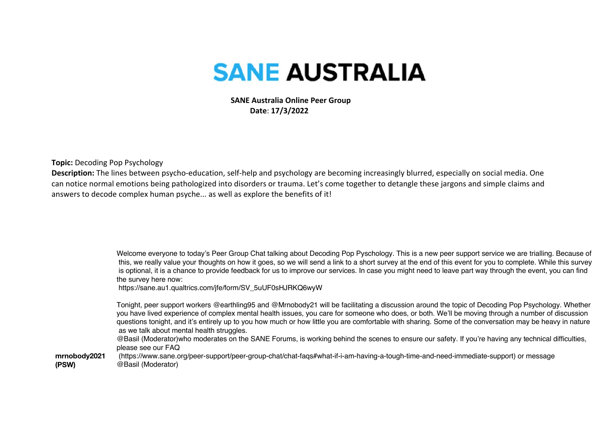## **SANE AUSTRALIA**

 **SANE Australia Online Peer Group Date**: **17/3/2022**

**Topic:**Decoding Pop Psychology

**Description:**The lines between psycho-education, self-help and psychology are becoming increasingly blurred, especially on social media. One can notice normal emotions being pathologized into disorders or trauma. Let's come together to detangle these jargons and simple claims and answers to decode complex human psyche... as well as explore the benefits of it!

> Welcome everyone to today's Peer Group Chat talking about Decoding Pop Pyschology. This is a new peer support service we are trialling. Because of this, we really value your thoughts on how it goes, so we will send a link to a short survey at the end of this event for you to complete. While this survey is optional, it is a chance to provide feedback for us to improve our services. In case you might need to leave part way through the event, you can find the survey here now:

https://sane.au1.qualtrics.com/jfe/form/SV\_5uUF0sHJRKQ6wyW

Tonight, peer support workers @earthling95 and @Mrnobody21 will be facilitating a discussion around the topic of Decoding Pop Psychology. Whether you have lived experience of complex mental health issues, you care for someone who does, or both. We'll be moving through a number of discussion questions tonight, and it's entirely up to you how much or how little you are comfortable with sharing. Some of the conversation may be heavy in nature as we talk about mental health struggles.

@Basil (Moderator)who moderates on the SANE Forums, is working behind the scenes to ensure our safety. If you're having any technical difficulties, please see our FAQ

**mrnobody2021 (PSW)** (https://www.sane.org/peer-support/peer-group-chat/chat-faqs#what-if-i-am-having-a-tough-time-and-need-immediate-support) or message @Basil (Moderator)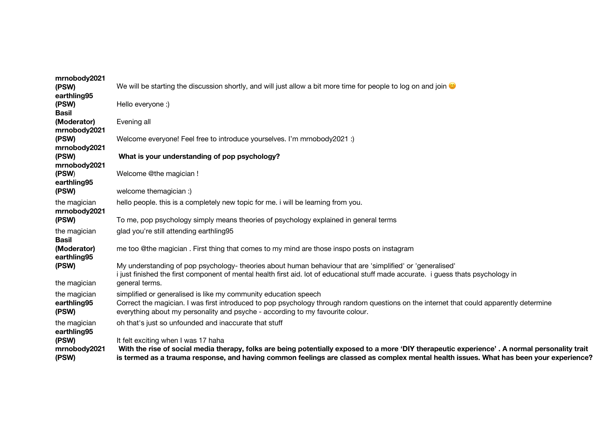| mrnobody2021                         |                                                                                                                                                                                                                                                                                                                                |
|--------------------------------------|--------------------------------------------------------------------------------------------------------------------------------------------------------------------------------------------------------------------------------------------------------------------------------------------------------------------------------|
| (PSW)                                | We will be starting the discussion shortly, and will just allow a bit more time for people to log on and join $\bullet$                                                                                                                                                                                                        |
| earthling95<br>(PSW)<br><b>Basil</b> | Hello everyone :)                                                                                                                                                                                                                                                                                                              |
| (Moderator)<br>mrnobody2021          | Evening all                                                                                                                                                                                                                                                                                                                    |
| (PSW)<br>mrnobody2021                | Welcome everyone! Feel free to introduce yourselves. I'm mrnobody2021 :)                                                                                                                                                                                                                                                       |
| (PSW)<br>mrnobody2021                | What is your understanding of pop psychology?                                                                                                                                                                                                                                                                                  |
| (PSW)<br>earthling95                 | Welcome @the magician !                                                                                                                                                                                                                                                                                                        |
| (PSW)                                | welcome themagician :)                                                                                                                                                                                                                                                                                                         |
| the magician<br>mrnobody2021         | hello people. this is a completely new topic for me. i will be learning from you.                                                                                                                                                                                                                                              |
| (PSW)                                | To me, pop psychology simply means theories of psychology explained in general terms                                                                                                                                                                                                                                           |
| the magician<br><b>Basil</b>         | glad you're still attending earthling95                                                                                                                                                                                                                                                                                        |
| (Moderator)<br>earthling95           | me too @the magician . First thing that comes to my mind are those inspo posts on instagram                                                                                                                                                                                                                                    |
| (PSW)<br>the magician                | My understanding of pop psychology- theories about human behaviour that are 'simplified' or 'generalised'<br>i just finished the first component of mental health first aid. lot of educational stuff made accurate. i guess thats psychology in<br>general terms.                                                             |
| the magician<br>earthling95<br>(PSW) | simplified or generalised is like my community education speech<br>Correct the magician. I was first introduced to pop psychology through random questions on the internet that could apparently determine<br>everything about my personality and psyche - according to my favourite colour.                                   |
| the magician<br>earthling95          | oh that's just so unfounded and inaccurate that stuff                                                                                                                                                                                                                                                                          |
| (PSW)<br>mrnobody2021<br>(PSW)       | It felt exciting when I was 17 haha<br>With the rise of social media therapy, folks are being potentially exposed to a more 'DIY therapeutic experience'. A normal personality trait<br>is termed as a trauma response, and having common feelings are classed as complex mental health issues. What has been your experience? |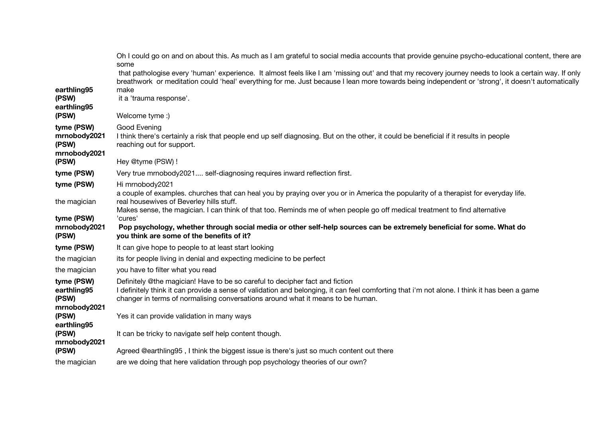|                                                     | Oh I could go on and on about this. As much as I am grateful to social media accounts that provide genuine psycho-educational content, there are<br>some<br>that pathologise every 'human' experience. It almost feels like I am 'missing out' and that my recovery journey needs to look a certain way. If only<br>breathwork or meditation could 'heal' everything for me. Just because I lean more towards being independent or 'strong', it doesn't automatically |
|-----------------------------------------------------|-----------------------------------------------------------------------------------------------------------------------------------------------------------------------------------------------------------------------------------------------------------------------------------------------------------------------------------------------------------------------------------------------------------------------------------------------------------------------|
| earthling95<br>(PSW)<br>earthling95                 | make<br>it a 'trauma response'.                                                                                                                                                                                                                                                                                                                                                                                                                                       |
| (PSW)                                               | Welcome tyme:)                                                                                                                                                                                                                                                                                                                                                                                                                                                        |
| tyme (PSW)<br>mrnobody2021<br>(PSW)<br>mrnobody2021 | Good Evening<br>I think there's certainly a risk that people end up self diagnosing. But on the other, it could be beneficial if it results in people<br>reaching out for support.                                                                                                                                                                                                                                                                                    |
| (PSW)                                               | Hey @tyme (PSW) !                                                                                                                                                                                                                                                                                                                                                                                                                                                     |
| tyme (PSW)                                          | Very true mrnobody2021 self-diagnosing requires inward reflection first.                                                                                                                                                                                                                                                                                                                                                                                              |
| tyme (PSW)                                          | Hi mrnobody2021<br>a couple of examples. churches that can heal you by praying over you or in America the popularity of a therapist for everyday life.                                                                                                                                                                                                                                                                                                                |
| the magician<br>tyme (PSW)                          | real housewives of Beverley hills stuff.<br>Makes sense, the magician. I can think of that too. Reminds me of when people go off medical treatment to find alternative<br>'cures'                                                                                                                                                                                                                                                                                     |
| mrnobody2021<br>(PSW)                               | Pop psychology, whether through social media or other self-help sources can be extremely beneficial for some. What do<br>you think are some of the benefits of it?                                                                                                                                                                                                                                                                                                    |
| tyme (PSW)                                          | It can give hope to people to at least start looking                                                                                                                                                                                                                                                                                                                                                                                                                  |
| the magician                                        | its for people living in denial and expecting medicine to be perfect                                                                                                                                                                                                                                                                                                                                                                                                  |
| the magician                                        | you have to filter what you read                                                                                                                                                                                                                                                                                                                                                                                                                                      |
| tyme (PSW)<br>earthling95<br>(PSW)<br>mrnobody2021  | Definitely @the magician! Have to be so careful to decipher fact and fiction<br>I definitely think it can provide a sense of validation and belonging, it can feel comforting that i'm not alone. I think it has been a game<br>changer in terms of normalising conversations around what it means to be human.                                                                                                                                                       |
| (PSW)<br>earthling95                                | Yes it can provide validation in many ways                                                                                                                                                                                                                                                                                                                                                                                                                            |
| (PSW)<br>mrnobody2021                               | It can be tricky to navigate self help content though.                                                                                                                                                                                                                                                                                                                                                                                                                |
| (PSW)                                               | Agreed @earthling95, I think the biggest issue is there's just so much content out there                                                                                                                                                                                                                                                                                                                                                                              |
| the magician                                        | are we doing that here validation through pop psychology theories of our own?                                                                                                                                                                                                                                                                                                                                                                                         |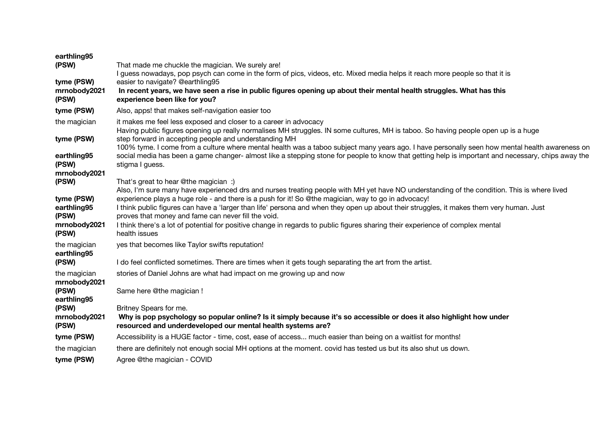| earthling95                  |                                                                                                                                                                                                                                                 |
|------------------------------|-------------------------------------------------------------------------------------------------------------------------------------------------------------------------------------------------------------------------------------------------|
| (PSW)                        | That made me chuckle the magician. We surely are!<br>l guess nowadays, pop psych can come in the form of pics, videos, etc. Mixed media helps it reach more people so that it is                                                                |
| tyme (PSW)                   | easier to navigate? @earthling95                                                                                                                                                                                                                |
| mrnobody2021<br>(PSW)        | In recent years, we have seen a rise in public figures opening up about their mental health struggles. What has this<br>experience been like for you?                                                                                           |
| tyme (PSW)                   | Also, apps! that makes self-navigation easier too                                                                                                                                                                                               |
| the magician                 | it makes me feel less exposed and closer to a career in advocacy<br>Having public figures opening up really normalises MH struggles. IN some cultures, MH is taboo. So having people open up is a huge                                          |
| tyme (PSW)                   | step forward in accepting people and understanding MH<br>100% tyme. I come from a culture where mental health was a taboo subject many years ago. I have personally seen how mental health awareness on                                         |
| earthling95<br>(PSW)         | social media has been a game changer- almost like a stepping stone for people to know that getting help is important and necessary, chips away the<br>stigma I guess.                                                                           |
| mrnobody2021                 |                                                                                                                                                                                                                                                 |
| (PSW)                        | That's great to hear @the magician :)                                                                                                                                                                                                           |
|                              | Also, I'm sure many have experienced drs and nurses treating people with MH yet have NO understanding of the condition. This is where lived                                                                                                     |
| tyme (PSW)<br>earthling95    | experience plays a huge role - and there is a push for it! So @the magician, way to go in advocacy!<br>I think public figures can have a 'larger than life' persona and when they open up about their struggles, it makes them very human. Just |
| (PSW)                        | proves that money and fame can never fill the void.                                                                                                                                                                                             |
| mrnobody2021                 | I think there's a lot of potential for positive change in regards to public figures sharing their experience of complex mental                                                                                                                  |
| (PSW)                        | health issues                                                                                                                                                                                                                                   |
| the magician<br>earthling95  | yes that becomes like Taylor swifts reputation!                                                                                                                                                                                                 |
| (PSW)                        | I do feel conflicted sometimes. There are times when it gets tough separating the art from the artist.                                                                                                                                          |
| the magician<br>mrnobody2021 | stories of Daniel Johns are what had impact on me growing up and now                                                                                                                                                                            |
| (PSW)<br>earthling95         | Same here @the magician !                                                                                                                                                                                                                       |
| (PSW)                        | Britney Spears for me.                                                                                                                                                                                                                          |
| mrnobody2021<br>(PSW)        | Why is pop psychology so popular online? Is it simply because it's so accessible or does it also highlight how under<br>resourced and underdeveloped our mental health systems are?                                                             |
| tyme (PSW)                   | Accessibility is a HUGE factor - time, cost, ease of access much easier than being on a waitlist for months!                                                                                                                                    |
| the magician                 | there are definitely not enough social MH options at the moment. covid has tested us but its also shut us down.                                                                                                                                 |
| tyme (PSW)                   | Agree @the magician - COVID                                                                                                                                                                                                                     |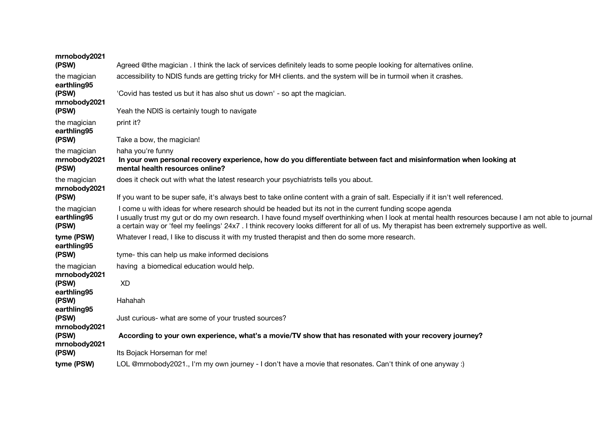| mrnobody2021<br>(PSW)                 | Agreed @the magician . I think the lack of services definitely leads to some people looking for alternatives online.                                                                                                                                                                                                                                                                                               |
|---------------------------------------|--------------------------------------------------------------------------------------------------------------------------------------------------------------------------------------------------------------------------------------------------------------------------------------------------------------------------------------------------------------------------------------------------------------------|
| the magician<br>earthling95           | accessibility to NDIS funds are getting tricky for MH clients. and the system will be in turmoil when it crashes.                                                                                                                                                                                                                                                                                                  |
| (PSW)<br>mrnobody2021                 | 'Covid has tested us but it has also shut us down' - so apt the magician.                                                                                                                                                                                                                                                                                                                                          |
| (PSW)                                 | Yeah the NDIS is certainly tough to navigate                                                                                                                                                                                                                                                                                                                                                                       |
| the magician<br>earthling95           | print it?                                                                                                                                                                                                                                                                                                                                                                                                          |
| (PSW)                                 | Take a bow, the magician!                                                                                                                                                                                                                                                                                                                                                                                          |
| the magician<br>mrnobody2021<br>(PSW) | haha you're funny<br>In your own personal recovery experience, how do you differentiate between fact and misinformation when looking at<br>mental health resources online?                                                                                                                                                                                                                                         |
| the magician<br>mrnobody2021          | does it check out with what the latest research your psychiatrists tells you about.                                                                                                                                                                                                                                                                                                                                |
| (PSW)                                 | If you want to be super safe, it's always best to take online content with a grain of salt. Especially if it isn't well referenced.                                                                                                                                                                                                                                                                                |
| the magician<br>earthling95<br>(PSW)  | I come u with ideas for where research should be headed but its not in the current funding scope agenda<br>I usually trust my gut or do my own research. I have found myself overthinking when I look at mental health resources because I am not able to journal<br>a certain way or 'feel my feelings' 24x7. I think recovery looks different for all of us. My therapist has been extremely supportive as well. |
| tyme (PSW)<br>earthling95             | Whatever I read, I like to discuss it with my trusted therapist and then do some more research.                                                                                                                                                                                                                                                                                                                    |
| (PSW)                                 | tyme- this can help us make informed decisions                                                                                                                                                                                                                                                                                                                                                                     |
| the magician<br>mrnobody2021          | having a biomedical education would help.                                                                                                                                                                                                                                                                                                                                                                          |
| (PSW)<br>earthling95                  | <b>XD</b>                                                                                                                                                                                                                                                                                                                                                                                                          |
| (PSW)<br>earthling95                  | Hahahah                                                                                                                                                                                                                                                                                                                                                                                                            |
| (PSW)<br>mrnobody2021                 | Just curious- what are some of your trusted sources?                                                                                                                                                                                                                                                                                                                                                               |
| (PSW)<br>mrnobody2021                 | According to your own experience, what's a movie/TV show that has resonated with your recovery journey?                                                                                                                                                                                                                                                                                                            |
| (PSW)                                 | Its Bojack Horseman for me!                                                                                                                                                                                                                                                                                                                                                                                        |
| tyme (PSW)                            | LOL @mrnobody2021., I'm my own journey - I don't have a movie that resonates. Can't think of one anyway :)                                                                                                                                                                                                                                                                                                         |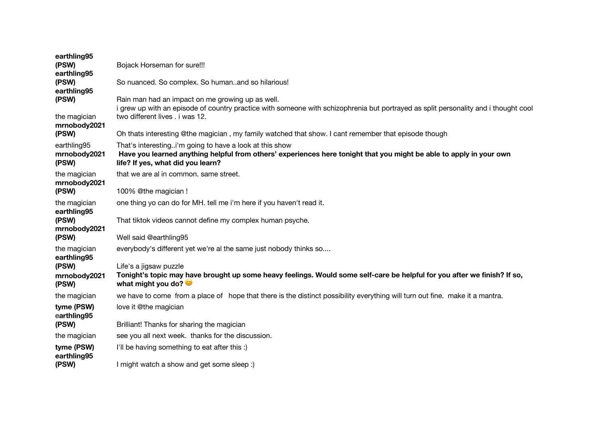| earthling95<br>(PSW)<br>earthling95<br>(PSW)<br>earthling95<br>(PSW)<br>the magician | Bojack Horseman for sure!!!<br>So nuanced. So complex. So humanand so hilarious!<br>Rain man had an impact on me growing up as well.<br>i grew up with an episode of country practice with someone with schizophrenia but portrayed as split personality and i thought cool<br>two different lives . i was 12. |
|--------------------------------------------------------------------------------------|----------------------------------------------------------------------------------------------------------------------------------------------------------------------------------------------------------------------------------------------------------------------------------------------------------------|
| mrnobody2021<br>(PSW)                                                                | Oh thats interesting @the magician, my family watched that show. I cant remember that episode though                                                                                                                                                                                                           |
| earthling95<br>mrnobody2021<br>(PSW)                                                 | That's interestingi'm going to have a look at this show<br>Have you learned anything helpful from others' experiences here tonight that you might be able to apply in your own<br>life? If yes, what did you learn?                                                                                            |
| the magician<br>mrnobody2021<br>(PSW)                                                | that we are al in common. same street.<br>100% @the magician !                                                                                                                                                                                                                                                 |
| the magician<br>earthling95<br>(PSW)<br>mrnobody2021<br>(PSW)                        | one thing yo can do for MH. tell me i'm here if you haven't read it.<br>That tiktok videos cannot define my complex human psyche.<br>Well said @earthling95                                                                                                                                                    |
| the magician<br>earthling95<br>(PSW)<br>mrnobody2021<br>(PSW)                        | everybody's different yet we're al the same just nobody thinks so<br>Life's a jigsaw puzzle<br>Tonight's topic may have brought up some heavy feelings. Would some self-care be helpful for you after we finish? If so,<br>what might you do?                                                                  |
| the magician                                                                         | we have to come from a place of hope that there is the distinct possibility everything will turn out fine. make it a mantra.                                                                                                                                                                                   |
| tyme (PSW)<br>earthling95<br>(PSW)                                                   | love it @the magician<br>Brilliant! Thanks for sharing the magician                                                                                                                                                                                                                                            |
| the magician                                                                         | see you all next week. thanks for the discussion.                                                                                                                                                                                                                                                              |
| tyme (PSW)<br>earthling95<br>(PSW)                                                   | I'll be having something to eat after this :)<br>I might watch a show and get some sleep :)                                                                                                                                                                                                                    |
|                                                                                      |                                                                                                                                                                                                                                                                                                                |